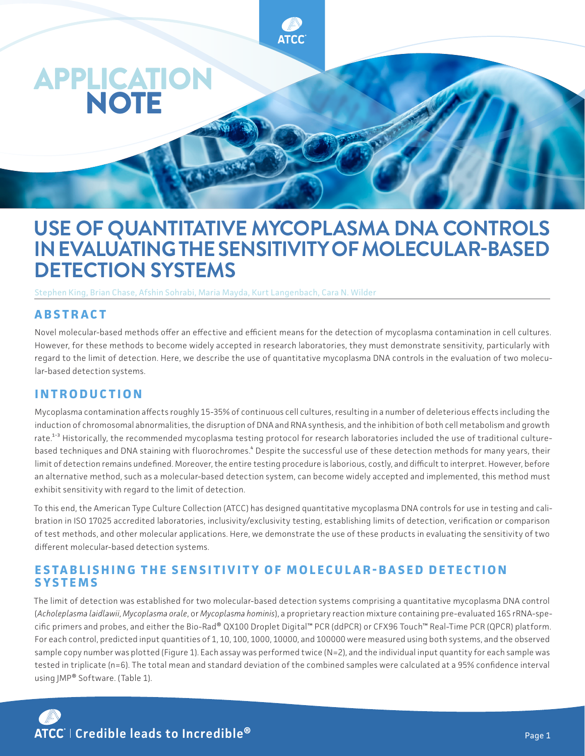

# **USE OF QUANTITATIVE MYCOPLASMA DNA CONTROLS IN EVALUATING THE SENSITIVITY OF MOLECULAR-BASED DETECTION SYSTEMS**

Stephen King, Brian Chase, Afshin Sohrabi, Maria Mayda, Kurt Langenbach, Cara N. Wilder

### **A B S T R A C T**

Novel molecular-based methods offer an effective and efficient means for the detection of mycoplasma contamination in cell cultures. However, for these methods to become widely accepted in research laboratories, they must demonstrate sensitivity, particularly with regard to the limit of detection. Here, we describe the use of quantitative mycoplasma DNA controls in the evaluation of two molecular-based detection systems.

#### **INTRODUCTION**

Mycoplasma contamination affects roughly 15-35% of continuous cell cultures, resulting in a number of deleterious effects including the induction of chromosomal abnormalities, the disruption of DNA and RNA synthesis, and the inhibition of both cell metabolism and growth rate.<sup>1-3</sup> Historically, the recommended mycoplasma testing protocol for research laboratories included the use of traditional culturebased techniques and DNA staining with fluorochromes.<sup>4</sup> Despite the successful use of these detection methods for many years, their limit of detection remains undefined. Moreover, the entire testing procedure is laborious, costly, and difficult to interpret. However, before an alternative method, such as a molecular-based detection system, can become widely accepted and implemented, this method must exhibit sensitivity with regard to the limit of detection.

To this end, the American Type Culture Collection (ATCC) has designed quantitative mycoplasma DNA controls for use in testing and calibration in ISO 17025 accredited laboratories, inclusivity/exclusivity testing, establishing limits of detection, verification or comparison of test methods, and other molecular applications. Here, we demonstrate the use of these products in evaluating the sensitivity of two different molecular-based detection systems.

#### **ESTABLISHING THE SENSITIVITY OF MOLECULAR-BASED DETECTION SYSTEMS**

The limit of detection was established for two molecular-based detection systems comprising a quantitative mycoplasma DNA control (*Acholeplasma laidlawii*, *Mycoplasma orale*, or *Mycoplasma hominis*), a proprietary reaction mixture containing pre-evaluated 16S rRNA-specific primers and probes, and either the Bio-Rad® QX100 Droplet Digital™ PCR (ddPCR) or CFX96 Touch™ Real-Time PCR (QPCR) platform. For each control, predicted input quantities of 1, 10, 100, 1000, 10000, and 100000 were measured using both systems, and the observed sample copy number was plotted (Figure 1). Each assay was performed twice (N=2), and the individual input quantity for each sample was tested in triplicate (n=6). The total mean and standard deviation of the combined samples were calculated at a 95% confidence interval using JMP® Software. (Table 1).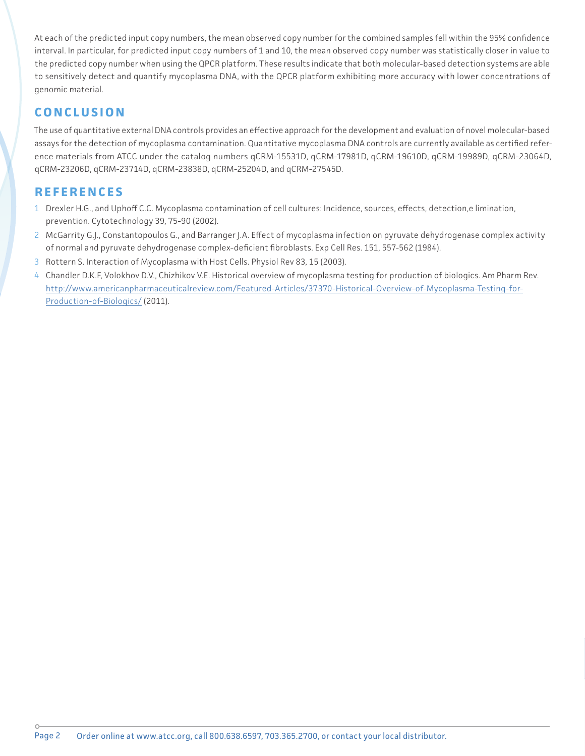At each of the predicted input copy numbers, the mean observed copy number for the combined samples fell within the 95% confidence interval. In particular, for predicted input copy numbers of 1 and 10, the mean observed copy number was statistically closer in value to the predicted copy number when using the QPCR platform. These results indicate that both molecular-based detection systems are able to sensitively detect and quantify mycoplasma DNA, with the QPCR platform exhibiting more accuracy with lower concentrations of genomic material.

## **CONCLUSION**

The use of quantitative external DNA controls provides an effective approach for the development and evaluation of novel molecular-based assays for the detection of mycoplasma contamination. Quantitative mycoplasma DNA controls are currently available as certified reference materials from ATCC under the catalog numbers qCRM-15531D, qCRM-17981D, qCRM-19610D, qCRM-19989D, qCRM-23064D, qCRM-23206D, qCRM-23714D, qCRM-23838D, qCRM-25204D, and qCRM-27545D.

## **REFERENCES**

- 1 Drexler H.G., and Uphoff C.C. Mycoplasma contamination of cell cultures: Incidence, sources, effects, detection,e limination, prevention. Cytotechnology 39, 75-90 (2002).
- 2 McGarrity G.J., Constantopoulos G., and Barranger J.A. Effect of mycoplasma infection on pyruvate dehydrogenase complex activity of normal and pyruvate dehydrogenase complex-deficient fibroblasts. Exp Cell Res. 151, 557-562 (1984).
- 3 Rottern S. Interaction of Mycoplasma with Host Cells. Physiol Rev 83, 15 (2003).
- 4 Chandler D.K.F, Volokhov D.V., Chizhikov V.E. Historical overview of mycoplasma testing for production of biologics. Am Pharm Rev. [http://www.americanpharmaceuticalreview.com/Featured-Articles/37370-Historical-Overview-of-Mycoplasma-Testing-for-](http://www.americanpharmaceuticalreview.com/Featured-Articles/37370-Historical-Overview-of-Mycoplasma-Testing-for-Production-of-Biologics/)[Production-of-Biologics/](http://www.americanpharmaceuticalreview.com/Featured-Articles/37370-Historical-Overview-of-Mycoplasma-Testing-for-Production-of-Biologics/) (2011).